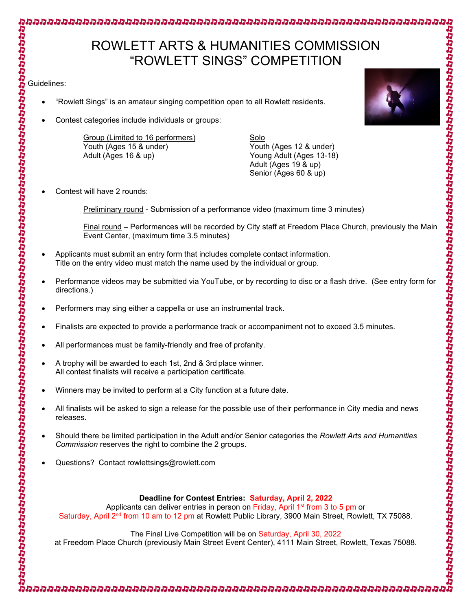## ROWLETT ARTS & HUMANITIES COMMISSION "ROWLETT SINGS" COMPETITION

ימי מינוי מינוי מינוי מינוי מינוי מינוי מינוי מינוי מינוי מינוי מינוי מינוי מינוי מינוי מינוי מינוי מינוי מינו

- "Rowlett Sings" is an amateur singing competition open to all Rowlett residents.
- Contest categories include individuals or groups:

Group (Limited to 16 performers) Solo Youth (Ages 15 & under) Youth (Ages 12 & under) Adult (Ages 16 & up) Young Adult (Ages 13-18)

Adult (Ages 19 & up) Senior (Ages 60 & up)

Contest will have 2 rounds:

Preliminary round - Submission of a performance video (maximum time 3 minutes)

Final round – Performances will be recorded by City staff at Freedom Place Church, previously the Main Event Center, (maximum time 3.5 minutes)

- Applicants must submit an entry form that includes complete contact information. Title on the entry video must match the name used by the individual or group.
- Performance videos may be submitted via YouTube, or by recording to disc or a flash drive. (See entry form for directions.)
- Performers may sing either a cappella or use an instrumental track.
- Finalists are expected to provide a performance track or accompaniment not to exceed 3.5 minutes.
- All performances must be family-friendly and free of profanity.
- Guidelines: A trophy will be awarded to each 1st, 2nd & 3rd place winner. All contest finalists will receive a participation certificate.
	- Winners may be invited to perform at a City function at a future date.
	- All finalists will be asked to sign a release for the possible use of their performance in City media and news releases.
	- Should there be limited participation in the Adult and/or Senior categories the *Rowlett Arts and Humanities Commission* reserves the right to combine the 2 groups.
	- Questions? Contact rowlettsings@rowlett.com

## **Deadline for Contest Entries: Saturday, April 2, 2022**

Applicants can deliver entries in person on Friday, April 1<sup>st</sup> from 3 to 5 pm or Saturday, April 2<sup>nd</sup> from 10 am to 12 pm at Rowlett Public Library, 3900 Main Street, Rowlett, TX 75088.

## The Final Live Competition will be on Saturday, April 30, 2022

at Freedom Place Church (previously Main Street Event Center), 4111 Main Street, Rowlett, Texas 75088.